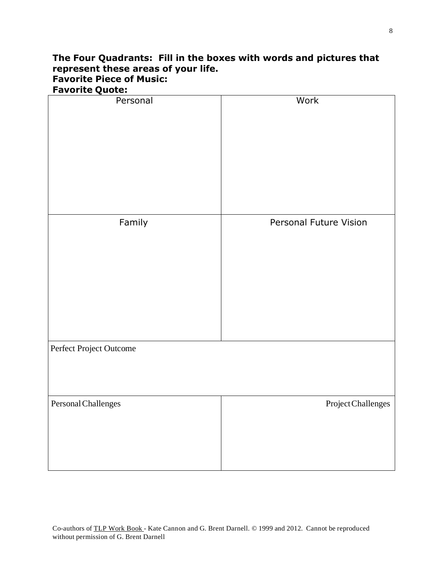## **The Four Quadrants: Fill in the boxes with words and pictures that represent these areas of your life. Favorite Piece of Music: Favorite Quote:**

| Personal                | Work                   |
|-------------------------|------------------------|
|                         |                        |
|                         |                        |
|                         |                        |
|                         |                        |
|                         |                        |
|                         |                        |
|                         |                        |
|                         |                        |
|                         |                        |
|                         |                        |
|                         |                        |
| Family                  | Personal Future Vision |
|                         |                        |
|                         |                        |
|                         |                        |
|                         |                        |
|                         |                        |
|                         |                        |
|                         |                        |
|                         |                        |
|                         |                        |
|                         |                        |
|                         |                        |
| Perfect Project Outcome |                        |
|                         |                        |
|                         |                        |
|                         |                        |
|                         |                        |
| Personal Challenges     | Project Challenges     |
|                         |                        |
|                         |                        |
|                         |                        |
|                         |                        |
|                         |                        |
|                         |                        |
|                         |                        |